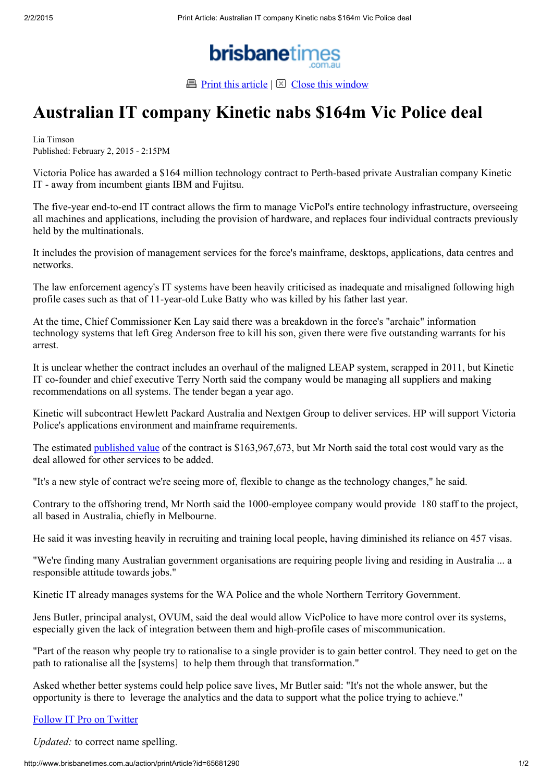

**Print this article**  $\boxtimes$  Close this window

## Australian IT company Kinetic nabs \$164m Vic Police deal

Lia Timson Published: February 2, 2015 - 2:15PM

Victoria Police has awarded a \$164 million technology contract to Perth-based private Australian company Kinetic IT - away from incumbent giants IBM and Fujitsu.

The five-year end-to-end IT contract allows the firm to manage VicPol's entire technology infrastructure, overseeing all machines and applications, including the provision of hardware, and replaces four individual contracts previously held by the multinationals.

It includes the provision of management services for the force's mainframe, desktops, applications, data centres and networks.

The law enforcement agency's IT systems have been heavily criticised as inadequate and misaligned following high profile cases such as that of 11-year-old Luke Batty who was killed by his father last year.

At the time, Chief Commissioner Ken Lay said there was a breakdown in the force's "archaic" information technology systems that left Greg Anderson free to kill his son, given there were five outstanding warrants for his arrest.

It is unclear whether the contract includes an overhaul of the maligned LEAP system, scrapped in 2011, but Kinetic IT co-founder and chief executive Terry North said the company would be managing all suppliers and making recommendations on all systems. The tender began a year ago.

Kinetic will subcontract Hewlett Packard Australia and Nextgen Group to deliver services. HP will support Victoria Police's applications environment and mainframe requirements.

The estimated published value of the contract is \$163,967,673, but Mr North said the total cost would vary as the deal allowed for other services to be added.

"It's a new style of contract we're seeing more of, flexible to change as the technology changes," he said.

Contrary to the offshoring trend, Mr North said the 1000-employee company would provide 180 staff to the project, all based in Australia, chiefly in Melbourne.

He said it was investing heavily in recruiting and training local people, having diminished its reliance on 457 visas.

"We're finding many Australian government organisations are requiring people living and residing in Australia ... a responsible attitude towards jobs."

Kinetic IT already manages systems for the WA Police and the whole Northern Territory Government.

Jens Butler, principal analyst, OVUM, said the deal would allow VicPolice to have more control over its systems, especially given the lack of integration between them and high-profile cases of miscommunication.

"Part of the reason why people try to rationalise to a single provider is to gain better control. They need to get on the path to rationalise all the [systems] to help them through that transformation."

Asked whether better systems could help police save lives, Mr Butler said: "It's not the whole answer, but the opportunity is there to leverage the analytics and the data to support what the police trying to achieve."

## Follow IT Pro on Twitter

Updated: to correct name spelling.